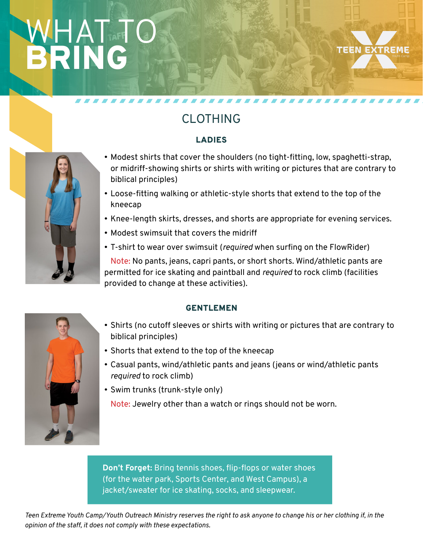# WHAT TO BRING



## CLOTHING

#### LADIES

- Modest shirts that cover the shoulders (no tight-fitting, low, spaghetti-strap, or midriff-showing shirts or shirts with writing or pictures that are contrary to biblical principles)
	- Loose-fitting walking or athletic-style shorts that extend to the top of the kneecap
	- Knee-length skirts, dresses, and shorts are appropriate for evening services.
	- Modest swimsuit that covers the midriff
	- T-shirt to wear over swimsuit (*required* when surfing on the FlowRider)

Note: No pants, jeans, capri pants, or short shorts. Wind/athletic pants are permitted for ice skating and paintball and *required* to rock climb (facilities provided to change at these activities).

#### GENTLEMEN



- Shirts (no cutoff sleeves or shirts with writing or pictures that are contrary to biblical principles)
- Shorts that extend to the top of the kneecap
- Casual pants, wind/athletic pants and jeans (jeans or wind/athletic pants *required* to rock climb)
- Swim trunks (trunk-style only)

Note: Jewelry other than a watch or rings should not be worn.

**Don't Forget:** Bring tennis shoes, flip-flops or water shoes (for the water park, Sports Center, and West Campus), a jacket/sweater for ice skating, socks, and sleepwear.

*Teen Extreme Youth Camp/Youth Outreach Ministry reserves the right to ask anyone to change his or her clothing if, in the opinion of the staff, it does not comply with these expectations.*